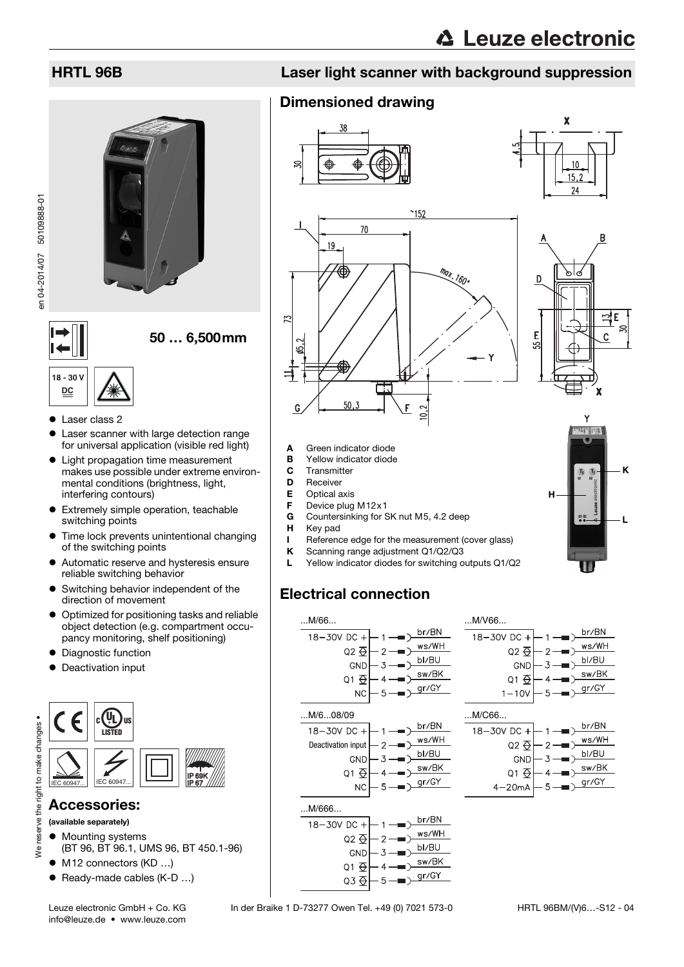

# 50 … 6,500mm

# **18 - 30 V DC**

en 04-2014/07 50109888-01

en 04-2014/07 50109888-01

- Laser class 2
- Laser scanner with large detection range for universal application (visible red light)
- Light propagation time measurement makes use possible under extreme environmental conditions (brightness, light, interfering contours)
- **•** Extremely simple operation, teachable switching points
- **•** Time lock prevents unintentional changing of the switching points
- Automatic reserve and hysteresis ensure reliable switching behavior
- Switching behavior independent of the direction of movement
- $\bullet$  Optimized for positioning tasks and reliable object detection (e.g. compartment occupancy monitoring, shelf positioning)
- Diagnostic function
- Deactivation input



### Accessories:

(available separately)

We reserve

- $\bullet$  Mounting systems
- (BT 96, BT 96.1, UMS 96, BT 450.1-96)
- M12 connectors (KD ...)
- Ready-made cables (K-D ...)

# HRTL 96B Laser light scanner with background suppression

160

## Dimensioned drawing





 $\overline{\mathbf{x}}$ 



 $50,3$ 

- **A** Green indicator diode<br>**B** Yellow indicator diode **B** Yellow indicator diode<br>**C** Transmitter
- **C** Transmitter<br>**D** Receiver
- **Receiver**

IJ

15,

G

- E Optical axis
- **F** Device plug M12x1<br>**G** Countersinking for S
- Countersinking for SK nut M5, 4.2 deep
- H Key pad
- I Reference edge for the measurement (cover glass)<br>  $K$  Scanning range adjustment Q1/Q2/Q3

 $\epsilon$ 

- **K** Scanning range adjustment Q1/Q2/Q3
- L Yellow indicator diodes for switching outputs Q1/Q2

# Electrical connection







Leuze electronic GmbH + Co. KG In der Braike 1 D-73277 Owen Tel. +49 (0) 7021 573-0

Q3  $\overline{\Theta}$ 

. SB

่่x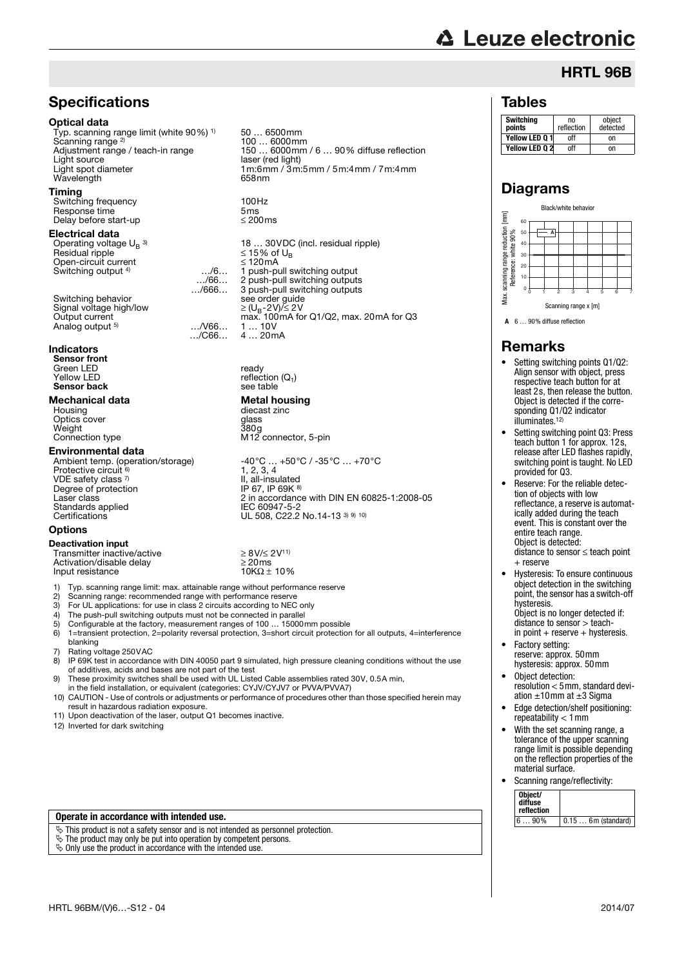### **Specifications**

#### Optical data

Typ. scanning range limit (white 90%) 1) Scanning range<sup>2)</sup><br>Adjustment range / teach-in range Light source  $\overline{\phantom{0}}$  laser (red light)<br>
Light spot diameter  $\overline{\phantom{0}}$  1 m:6 mm / 3 m Wavelength

#### Timing

Switching frequency 100Hz<br>Response time 5ms Response time  $5 \text{ms}$ <br>Delay before start-up  $\leq 200 \text{ms}$ Delay before start-up

#### Electrical data

Operating voltage  $U_B$ <sup>3)</sup><br>Besidual ripple Open-circuit current<br>Switching output  $4$   $\ldots/6...$ Switching output <sup>4)</sup>

Switching behavior Signal voltage high/low<br>Output current Analog output <sup>5)</sup>

#### **Indicators**

Sensor front Green LED and ready  $Y$ ellow LED reflection  $(Q_1)$ <br> **Sensor back** see table Sensor back

# **Mechanical data Metal housing**<br>
Housing<br> **Metal housing**<br> **Mechanical data**

Optics cover Weight<br>Connection type

**Environmental data**<br>Ambient temp. (operation/storage) Protective circuit VDE safety class <sup>7)</sup> II, all-insulated<br>Degree of protection IP 67, IP 69K <sup>8)</sup> Standards applied<br>Certifications

### **Options**

Deactivation input

**Input resistance** 

50 … 6500mm 100 … 6000mm Adjustment range / teach-in range 150 ... 6000mm / 6 ... 90% diffuse reflection<br>Light source Light spot diameter 1m:6mm / 3m:5mm / 5m:4mm / 7m:4mm

…/66… …/666…

…/C66…

18 … 30VDC (incl. residual ripple) Residual ripple 15% of UB 1 push-pull switching output<br>2 push-pull switching output push-pull switching outputs 3 push-pull switching outputs<br>see order guide<br> $\geq (U_B - 2V)/ \leq 2V$  $max. 100mA$  for Q1/Q2, max. 20mA for Q3<br>.../V66... 1 ... 10V 1 … 10V 4 … 20mA

diecast zinc<br>glass<br>380g M12 connector, 5-pin

 $-40^{\circ}$ C … +50°C / -35°C … +70°C 1, 2, 3, 4 II, all-insulated<br>IP 67, IP 69K  $\frac{8}{3}$ Laser class 2 in accordance with DIN EN 60825-1:2008-05 LEC 60947-5-2<br>UL 508, C22.2 No.14-13 <sup>3) 9) 10)</sup>

Transmitter inactive/active  $\geq 8V/22V^{11}$ <br>Activation/disable delay  $>20\,\text{ms}$  $\text{Activation/disable delay}$   $\geq 20 \text{ ms}$ <br>  $\text{Input resistance}$   $10\%2 \pm 10\%$ 

1) Typ. scanning range limit: max. attainable range without performance reserve

Scanning range: recommended range with performance reserve

3) For UL applications: for use in class 2 circuits according to NEC only<br>4) The push-pull switching outputs must not be connected in parallel

- 4) The push-pull switching outputs must not be connected in parallel<br>5) Configurable at the factory, measurement ranges of 100 ... 15000
- 5) Configurable at the factory, measurement ranges of  $100 \dots 15000$  mm possible 6)  $1$ =transient protection. 2=polarity reversal protection. 3=short circuit protection
- 1=transient protection, 2=polarity reversal protection, 3=short circuit protection for all outputs, 4=interference blanking
- 7) Rating voltage 250 VAC<br>8) IP 69 K test in accordan
- 8) IP 69K test in accordance with DIN 40050 part 9 simulated, high pressure cleaning conditions without the use of additives, acids and bases are not part of the test
- 9) These proximity switches shall be used with UL Listed Cable assemblies rated 30V, 0.5A min,
- in the field installation, or equivalent (categories: CYJV/CYJV7 or PVVA/PVVA7) 10) CAUTION - Use of controls or adjustments or performance of procedures other than those specified herein may result in hazardous radiation exposure.
- 11) Upon deactivation of the laser, output Q1 becomes inactive.
- 12) Inverted for dark switching

#### **Operate in accordance with intended use.**

 $\overline{\mathcal{C}}$  This product is not a safety sensor and is not intended as personnel protection.

- The product may only be put into operation by competent persons.
- $\&$  Only use the product in accordance with the intended use.

# **△ Leuze electronic** HRTL 96B

### Tables

| <b>Switching</b><br>points | no<br>reflection | object<br>detected |
|----------------------------|------------------|--------------------|
| Yellow LED 0 1             | off              | n                  |
| Yellow LED 02              | nff              | n                  |

## Diagrams



**A** 6 … 90% diffuse reflection

### Remarks

- Setting switching points Q1/Q2: Align sensor with object, press respective teach button for at least 2s, then release the button. Object is detected if the corresponding Q1/Q2 indicator illuminates.12)
- Setting switching point Q3: Press teach button 1 for approx. 12s, release after LED flashes rapidly, switching point is taught. No LED provided for Q3.
- Reserve: For the reliable detection of objects with low reflectance, a reserve is automatically added during the teach event. This is constant over the entire teach range. Object is detected:  $distance$  to sensor  $<$  teach point

+ reserve

- Hysteresis: To ensure continuous object detection in the switching point, the sensor has a switch-off hysteresis. Object is no longer detected if: distance to sensor > teach-
- in point  $+$  reserve  $+$  hysteresis. Factory setting:
- reserve: approx. 50mm hysteresis: approx. 50mm
- Object detection: resolution < 5mm, standard deviation  $\pm 10$  mm at  $\pm 3$  Sigma
- Edge detection/shelf positioning: repeatability  $< 1$  mm
- With the set scanning range, a tolerance of the upper scanning range limit is possible depending on the reflection properties of the material surface.
- Scanning range/reflectivity:

| Object/<br>diffuse<br>reflection |                      |
|----------------------------------|----------------------|
| $690\%$                          | $0.15$ 6m (standard) |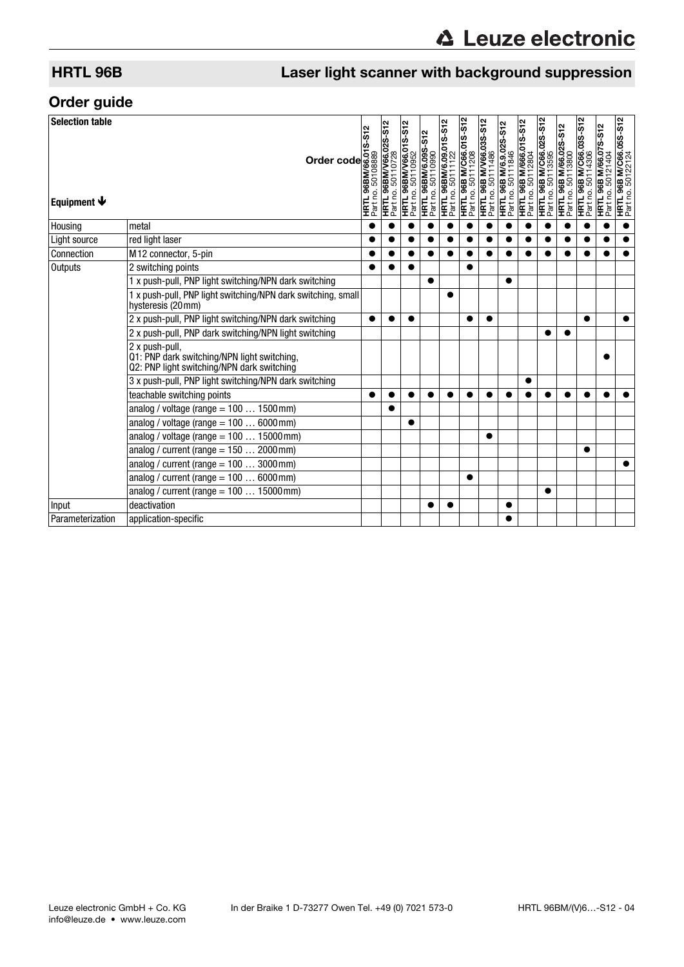# HRTL 96B Laser light scanner with background suppression

## Order guide

| <b>Selection table</b><br>Equipment $\blacktriangleright$ | Order control and a period of the set of the set of the set of the set of the set of the set of the set of the set of the set of the set of the set of the set of the set of the set of the set of the set of the set of the |  |           | HRTL 96BM/6.09.01S-S12<br>Part no. 50111122 | <b>HRTL 96B M/C66.01S-S12</b><br>Part no. 50111208 | <b>HRTL 96B M/V66.03S-S12</b><br>Part no. 50111486 | <b>HRTL 96B M/6.9.02S-S12</b><br>Part no. 50111846 | <b>HRTL 96B M/666.01S-S12</b><br>Part no. 50112804 | <b>HRTL 96B M/C66.02S-S12</b><br>Part no. 50113595 | <b>HRTL 96B M/66.02S-S12</b><br>Part no. 50113800 | <b>HRTL 96B M/C66.03S-S12</b><br>Part no. 50114306 | HRTL 96B M/66.07S-S12<br>Part no. 50121404 | <b>HRTL 96B M/C66.05S-S12</b><br>Part no. 50122124 |
|-----------------------------------------------------------|------------------------------------------------------------------------------------------------------------------------------------------------------------------------------------------------------------------------------|--|-----------|---------------------------------------------|----------------------------------------------------|----------------------------------------------------|----------------------------------------------------|----------------------------------------------------|----------------------------------------------------|---------------------------------------------------|----------------------------------------------------|--------------------------------------------|----------------------------------------------------|
| Housing                                                   | metal                                                                                                                                                                                                                        |  |           |                                             |                                                    |                                                    |                                                    |                                                    |                                                    |                                                   |                                                    |                                            | $\bullet$                                          |
| Light source                                              | red light laser                                                                                                                                                                                                              |  |           |                                             |                                                    |                                                    |                                                    |                                                    |                                                    |                                                   |                                                    |                                            |                                                    |
| Connection                                                | M12 connector, 5-pin                                                                                                                                                                                                         |  |           |                                             |                                                    |                                                    |                                                    |                                                    |                                                    |                                                   |                                                    |                                            |                                                    |
| <b>Outputs</b>                                            | 2 switching points                                                                                                                                                                                                           |  |           |                                             |                                                    |                                                    |                                                    |                                                    |                                                    |                                                   |                                                    |                                            |                                                    |
|                                                           | 1 x push-pull, PNP light switching/NPN dark switching                                                                                                                                                                        |  |           |                                             |                                                    |                                                    |                                                    |                                                    |                                                    |                                                   |                                                    |                                            |                                                    |
|                                                           | 1 x push-pull, PNP light switching/NPN dark switching, small<br>hysteresis (20mm)                                                                                                                                            |  |           |                                             |                                                    |                                                    |                                                    |                                                    |                                                    |                                                   |                                                    |                                            |                                                    |
|                                                           | 2 x push-pull, PNP light switching/NPN dark switching                                                                                                                                                                        |  | $\bullet$ |                                             |                                                    |                                                    |                                                    |                                                    |                                                    |                                                   |                                                    |                                            |                                                    |
|                                                           | 2 x push-pull, PNP dark switching/NPN light switching                                                                                                                                                                        |  |           |                                             |                                                    |                                                    |                                                    |                                                    |                                                    |                                                   |                                                    |                                            |                                                    |
|                                                           | 2 x push-pull,<br>Q1: PNP dark switching/NPN light switching,<br>Q2: PNP light switching/NPN dark switching                                                                                                                  |  |           |                                             |                                                    |                                                    |                                                    |                                                    |                                                    |                                                   |                                                    |                                            |                                                    |
|                                                           | 3 x push-pull, PNP light switching/NPN dark switching                                                                                                                                                                        |  |           |                                             |                                                    |                                                    |                                                    |                                                    |                                                    |                                                   |                                                    |                                            |                                                    |
|                                                           | teachable switching points                                                                                                                                                                                                   |  |           |                                             |                                                    |                                                    |                                                    |                                                    |                                                    |                                                   |                                                    |                                            |                                                    |
|                                                           | analog / voltage (range = $1001500$ mm)                                                                                                                                                                                      |  |           |                                             |                                                    |                                                    |                                                    |                                                    |                                                    |                                                   |                                                    |                                            |                                                    |
|                                                           | analog / voltage (range = $1006000$ mm)                                                                                                                                                                                      |  |           |                                             |                                                    |                                                    |                                                    |                                                    |                                                    |                                                   |                                                    |                                            |                                                    |
|                                                           | analog / voltage (range $= 10015000$ mm)                                                                                                                                                                                     |  |           |                                             |                                                    |                                                    |                                                    |                                                    |                                                    |                                                   |                                                    |                                            |                                                    |
|                                                           | analog / current (range $= 1502000$ mm)                                                                                                                                                                                      |  |           |                                             |                                                    |                                                    |                                                    |                                                    |                                                    |                                                   |                                                    |                                            |                                                    |
|                                                           | analog / current (range = $1003000$ mm)                                                                                                                                                                                      |  |           |                                             |                                                    |                                                    |                                                    |                                                    |                                                    |                                                   |                                                    |                                            |                                                    |
|                                                           | analog / current (range = $1006000$ mm)                                                                                                                                                                                      |  |           |                                             |                                                    |                                                    |                                                    |                                                    |                                                    |                                                   |                                                    |                                            |                                                    |
|                                                           | analog / current (range = $10015000$ mm)                                                                                                                                                                                     |  |           |                                             |                                                    |                                                    |                                                    |                                                    |                                                    |                                                   |                                                    |                                            |                                                    |
| Input                                                     | deactivation                                                                                                                                                                                                                 |  |           |                                             |                                                    |                                                    |                                                    |                                                    |                                                    |                                                   |                                                    |                                            |                                                    |
| Parameterization                                          | application-specific                                                                                                                                                                                                         |  |           |                                             |                                                    |                                                    |                                                    |                                                    |                                                    |                                                   |                                                    |                                            |                                                    |